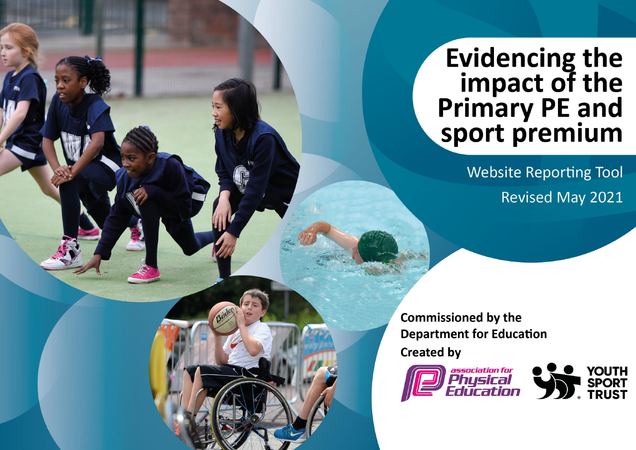## **Evidencing the** impact of the<br>Primary PE and<br>sport premium

**Website Reporting Tool Revised May 2021** 

**Commissioned by the Department for Education Created by** 



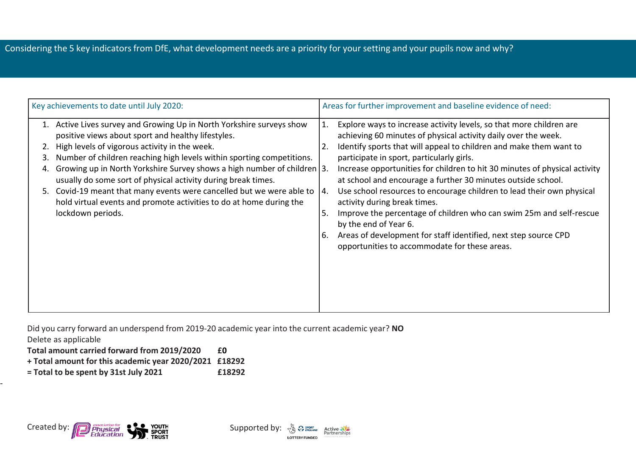## Considering the 5 key indicators from DfE, what development needs are a priority for your setting and your pupils now and why?

| Key achievements to date until July 2020:                                                                                                                                                                                                                                                                                                                                                                                                                                                                                                                                          | Areas for further improvement and baseline evidence of need:                                                                                                                                                                                                                                                                                                                                                                                                                                                                                                                                                                                                                                                                                                        |
|------------------------------------------------------------------------------------------------------------------------------------------------------------------------------------------------------------------------------------------------------------------------------------------------------------------------------------------------------------------------------------------------------------------------------------------------------------------------------------------------------------------------------------------------------------------------------------|---------------------------------------------------------------------------------------------------------------------------------------------------------------------------------------------------------------------------------------------------------------------------------------------------------------------------------------------------------------------------------------------------------------------------------------------------------------------------------------------------------------------------------------------------------------------------------------------------------------------------------------------------------------------------------------------------------------------------------------------------------------------|
| 1. Active Lives survey and Growing Up in North Yorkshire surveys show<br>positive views about sport and healthy lifestyles.<br>High levels of vigorous activity in the week.<br>Number of children reaching high levels within sporting competitions.<br>3.<br>Growing up in North Yorkshire Survey shows a high number of children 3.<br>4.<br>usually do some sort of physical activity during break times.<br>5. Covid-19 meant that many events were cancelled but we were able to<br>hold virtual events and promote activities to do at home during the<br>lockdown periods. | Explore ways to increase activity levels, so that more children are<br>1.<br>achieving 60 minutes of physical activity daily over the week.<br>Identify sports that will appeal to children and make them want to<br>2.<br>participate in sport, particularly girls.<br>Increase opportunities for children to hit 30 minutes of physical activity<br>at school and encourage a further 30 minutes outside school.<br>Use school resources to encourage children to lead their own physical<br>l 4.<br>activity during break times.<br>Improve the percentage of children who can swim 25m and self-rescue<br>5.<br>by the end of Year 6.<br>Areas of development for staff identified, next step source CPD<br>6.<br>opportunities to accommodate for these areas. |

Did you carry forward an underspend from 2019-20 academic year into the current academic year? **NO** Delete as applicable

**Total amount carried forward from 2019/2020 £0**

- **+ Total amount for this academic year 2020/2021 £18292**
- **= Total to be spent by 31st July 2021 £18292**



-

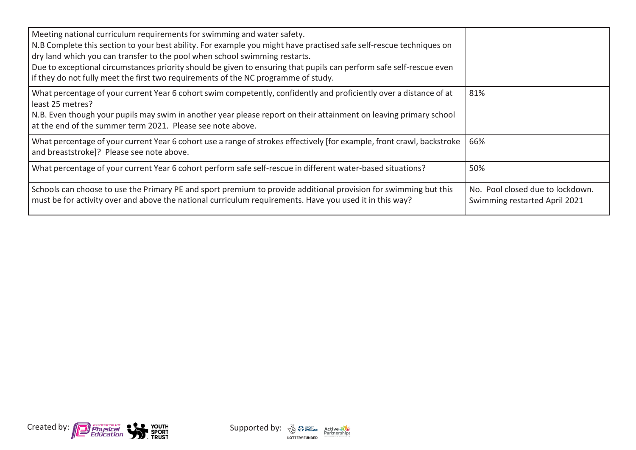| Meeting national curriculum requirements for swimming and water safety.<br>N.B Complete this section to your best ability. For example you might have practised safe self-rescue techniques on<br>dry land which you can transfer to the pool when school swimming restarts.<br>Due to exceptional circumstances priority should be given to ensuring that pupils can perform safe self-rescue even<br>if they do not fully meet the first two requirements of the NC programme of study. |                                                                   |
|-------------------------------------------------------------------------------------------------------------------------------------------------------------------------------------------------------------------------------------------------------------------------------------------------------------------------------------------------------------------------------------------------------------------------------------------------------------------------------------------|-------------------------------------------------------------------|
| What percentage of your current Year 6 cohort swim competently, confidently and proficiently over a distance of at<br>least 25 metres?<br>N.B. Even though your pupils may swim in another year please report on their attainment on leaving primary school<br>at the end of the summer term 2021. Please see note above.                                                                                                                                                                 | 81%                                                               |
| What percentage of your current Year 6 cohort use a range of strokes effectively [for example, front crawl, backstroke<br>and breaststroke]? Please see note above.                                                                                                                                                                                                                                                                                                                       | 66%                                                               |
| What percentage of your current Year 6 cohort perform safe self-rescue in different water-based situations?                                                                                                                                                                                                                                                                                                                                                                               | 50%                                                               |
| Schools can choose to use the Primary PE and sport premium to provide additional provision for swimming but this<br>must be for activity over and above the national curriculum requirements. Have you used it in this way?                                                                                                                                                                                                                                                               | No. Pool closed due to lockdown.<br>Swimming restarted April 2021 |



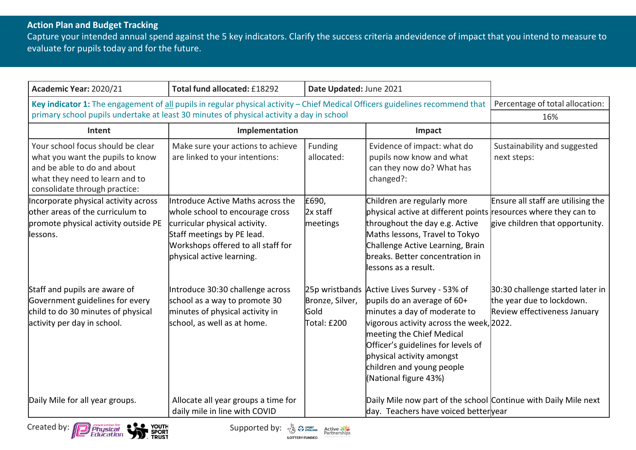## **Action Plan and Budget Tracking**

Capture your intended annual spend against the 5 key indicators. Clarify the success criteria andevidence of impact that you intend to measure to evaluate for pupils today and for the future.

| Academic Year: 2020/21                                                                                                                                                  | Total fund allocated: £18292                                                                                                                                                                           | Date Updated: June 2021                                  |                                                                                                                                                                                                                                                                                                 |                                                                                               |
|-------------------------------------------------------------------------------------------------------------------------------------------------------------------------|--------------------------------------------------------------------------------------------------------------------------------------------------------------------------------------------------------|----------------------------------------------------------|-------------------------------------------------------------------------------------------------------------------------------------------------------------------------------------------------------------------------------------------------------------------------------------------------|-----------------------------------------------------------------------------------------------|
| Key indicator 1: The engagement of all pupils in regular physical activity - Chief Medical Officers guidelines recommend that                                           |                                                                                                                                                                                                        |                                                          |                                                                                                                                                                                                                                                                                                 | Percentage of total allocation:                                                               |
|                                                                                                                                                                         | primary school pupils undertake at least 30 minutes of physical activity a day in school                                                                                                               |                                                          |                                                                                                                                                                                                                                                                                                 | 16%                                                                                           |
| Intent                                                                                                                                                                  | Implementation                                                                                                                                                                                         |                                                          | Impact                                                                                                                                                                                                                                                                                          |                                                                                               |
| Your school focus should be clear<br>what you want the pupils to know<br>and be able to do and about<br>what they need to learn and to<br>consolidate through practice: | Make sure your actions to achieve<br>are linked to your intentions:                                                                                                                                    | Funding<br>allocated:                                    | Evidence of impact: what do<br>pupils now know and what<br>can they now do? What has<br>changed?:                                                                                                                                                                                               | Sustainability and suggested<br>next steps:                                                   |
| Incorporate physical activity across<br>other areas of the curriculum to<br>promote physical activity outside PE<br>llessons.                                           | Introduce Active Maths across the<br>whole school to encourage cross<br>curricular physical activity.<br>Staff meetings by PE lead.<br>Workshops offered to all staff for<br>physical active learning. | £690,<br>2x staff<br>meetings                            | Children are regularly more<br>physical active at different points resources where they can to<br>throughout the day e.g. Active<br>Maths lessons, Travel to Tokyo<br>Challenge Active Learning, Brain<br>breaks. Better concentration in<br>llessons as a result.                              | Ensure all staff are utilising the<br>give children that opportunity.                         |
| Staff and pupils are aware of<br>Government guidelines for every<br>child to do 30 minutes of physical<br>activity per day in school.                                   | Introduce 30:30 challenge across<br>school as a way to promote 30<br>minutes of physical activity in<br>school, as well as at home.                                                                    | 25p wristbands<br>Bronze, Silver,<br>Gold<br>Total: £200 | Active Lives Survey - 53% of<br>pupils do an average of $60+$<br>minutes a day of moderate to<br>vigorous activity across the week, 2022.<br>meeting the Chief Medical<br>Officer's guidelines for levels of<br>physical activity amongst<br>children and young people<br>(National figure 43%) | 30:30 challenge started later in<br>the year due to lockdown.<br>Review effectiveness January |
| Daily Mile for all year groups.                                                                                                                                         | Allocate all year groups a time for<br>daily mile in line with COVID                                                                                                                                   |                                                          | Daily Mile now part of the school Continue with Daily Mile next<br>day. Teachers have voiced betteryear                                                                                                                                                                                         |                                                                                               |



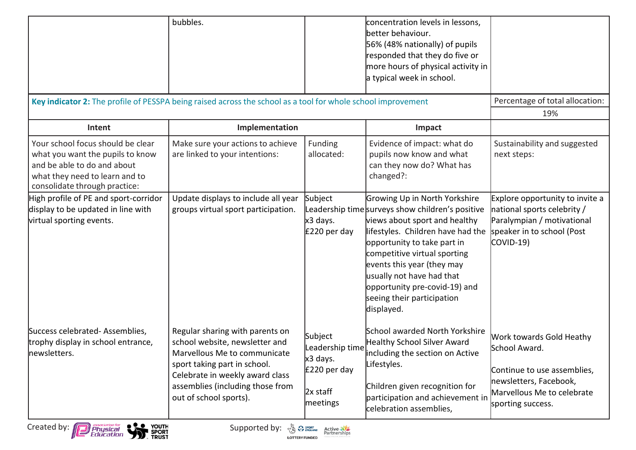|                                                                                                                                                                         | bubbles.                                                                                                                                                                                                                           |                                                                                | concentration levels in lessons,<br>better behaviour.<br>56% (48% nationally) of pupils<br>responded that they do five or<br>more hours of physical activity in<br>a typical week in school.                                                                                                                                                                   |                                                                                                                                                       |
|-------------------------------------------------------------------------------------------------------------------------------------------------------------------------|------------------------------------------------------------------------------------------------------------------------------------------------------------------------------------------------------------------------------------|--------------------------------------------------------------------------------|----------------------------------------------------------------------------------------------------------------------------------------------------------------------------------------------------------------------------------------------------------------------------------------------------------------------------------------------------------------|-------------------------------------------------------------------------------------------------------------------------------------------------------|
|                                                                                                                                                                         | Key indicator 2: The profile of PESSPA being raised across the school as a tool for whole school improvement                                                                                                                       |                                                                                |                                                                                                                                                                                                                                                                                                                                                                | Percentage of total allocation:                                                                                                                       |
|                                                                                                                                                                         |                                                                                                                                                                                                                                    |                                                                                |                                                                                                                                                                                                                                                                                                                                                                | 19%                                                                                                                                                   |
| Intent                                                                                                                                                                  | Implementation                                                                                                                                                                                                                     |                                                                                | Impact                                                                                                                                                                                                                                                                                                                                                         |                                                                                                                                                       |
| Your school focus should be clear<br>what you want the pupils to know<br>and be able to do and about<br>what they need to learn and to<br>consolidate through practice: | Make sure your actions to achieve<br>are linked to your intentions:                                                                                                                                                                | Funding<br>allocated:                                                          | Evidence of impact: what do<br>pupils now know and what<br>can they now do? What has<br>changed?:                                                                                                                                                                                                                                                              | Sustainability and suggested<br>next steps:                                                                                                           |
| High profile of PE and sport-corridor<br>display to be updated in line with<br>virtual sporting events.                                                                 | Update displays to include all year<br>groups virtual sport participation.                                                                                                                                                         | Subject<br>x3 days.<br>£220 per day                                            | Growing Up in North Yorkshire<br>Leadership time surveys show children's positive<br>views about sport and healthy<br>lifestyles. Children have had the<br>opportunity to take part in<br>competitive virtual sporting<br>events this year (they may<br>usually not have had that<br>opportunity pre-covid-19) and<br>seeing their participation<br>displayed. | Explore opportunity to invite a<br>national sports celebrity /<br>Paralympian / motivational<br>speaker in to school (Post<br><b>COVID-19)</b>        |
| Success celebrated-Assemblies,<br>trophy display in school entrance,<br>newsletters.                                                                                    | Regular sharing with parents on<br>school website, newsletter and<br>Marvellous Me to communicate<br>sport taking part in school.<br>Celebrate in weekly award class<br>assemblies (including those from<br>out of school sports). | Subject<br>Leadership time<br>x3 days.<br>£220 per day<br>2x staff<br>meetings | School awarded North Yorkshire<br><b>Healthy School Silver Award</b><br>including the section on Active<br>Lifestyles.<br>Children given recognition for<br>participation and achievement in<br>celebration assemblies,                                                                                                                                        | Work towards Gold Heathy<br>School Award.<br>Continue to use assemblies,<br>newsletters, Facebook,<br>Marvellous Me to celebrate<br>sporting success. |



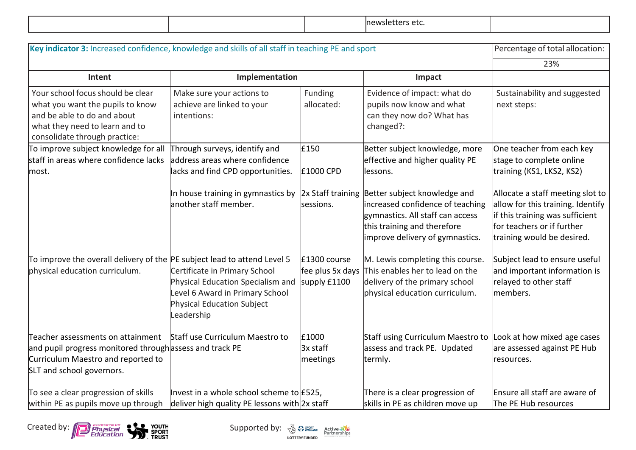|  |  |  | ∵ ^^<br>יחי<br>wsie<br>し こ こ こ |  |
|--|--|--|--------------------------------|--|
|--|--|--|--------------------------------|--|

| Key indicator 3: Increased confidence, knowledge and skills of all staff in teaching PE and sport                                                                       |                                                                                                                                                          |                                                  |                                                                                                                                                                                          | Percentage of total allocation:                                                                                                                                      |
|-------------------------------------------------------------------------------------------------------------------------------------------------------------------------|----------------------------------------------------------------------------------------------------------------------------------------------------------|--------------------------------------------------|------------------------------------------------------------------------------------------------------------------------------------------------------------------------------------------|----------------------------------------------------------------------------------------------------------------------------------------------------------------------|
|                                                                                                                                                                         |                                                                                                                                                          |                                                  |                                                                                                                                                                                          | 23%                                                                                                                                                                  |
| Intent                                                                                                                                                                  | Implementation                                                                                                                                           |                                                  | Impact                                                                                                                                                                                   |                                                                                                                                                                      |
| Your school focus should be clear<br>what you want the pupils to know<br>and be able to do and about<br>what they need to learn and to<br>consolidate through practice: | Make sure your actions to<br>achieve are linked to your<br>intentions:                                                                                   | Funding<br>allocated:                            | Evidence of impact: what do<br>pupils now know and what<br>can they now do? What has<br>changed?:                                                                                        | Sustainability and suggested<br>next steps:                                                                                                                          |
| To improve subject knowledge for all<br>staff in areas where confidence lacks<br>lmost.                                                                                 | Through surveys, identify and<br>address areas where confidence<br>lacks and find CPD opportunities.                                                     | £150<br>£1000 CPD                                | Better subject knowledge, more<br>effective and higher quality PE<br>lessons.                                                                                                            | One teacher from each key<br>stage to complete online<br>training (KS1, LKS2, KS2)                                                                                   |
|                                                                                                                                                                         | In house training in gymnastics by<br>another staff member.                                                                                              | sessions.                                        | 2x Staff training Better subject knowledge and<br>increased confidence of teaching<br>gymnastics. All staff can access<br>this training and therefore<br>improve delivery of gymnastics. | Allocate a staff meeting slot to<br>allow for this training. Identify<br>if this training was sufficient<br>for teachers or if further<br>training would be desired. |
| To improve the overall delivery of the $ $ PE subject lead to attend Level 5<br>physical education curriculum.                                                          | Certificate in Primary School<br>Physical Education Specialism and<br>Level 6 Award in Primary School<br><b>Physical Education Subject</b><br>Leadership | £1300 course<br>fee plus 5x days<br>supply £1100 | M. Lewis completing this course.<br>This enables her to lead on the<br>delivery of the primary school<br>physical education curriculum.                                                  | Subject lead to ensure useful<br>and important information is<br>relayed to other staff<br>members.                                                                  |
| Teacher assessments on attainment<br>and pupil progress monitored through assess and track PE<br>Curriculum Maestro and reported to<br>SLT and school governors.        | Staff use Curriculum Maestro to                                                                                                                          | £1000<br>3x staff<br>meetings                    | Staff using Curriculum Maestro to<br>assess and track PE. Updated<br>termly.                                                                                                             | Look at how mixed age cases<br>are assessed against PE Hub<br>resources.                                                                                             |
| To see a clear progression of skills<br>within PE as pupils move up through                                                                                             | Invest in a whole school scheme to £525,<br>deliver high quality PE lessons with 2x staff                                                                |                                                  | There is a clear progression of<br>skills in PE as children move up                                                                                                                      | Ensure all staff are aware of<br>The PE Hub resources                                                                                                                |



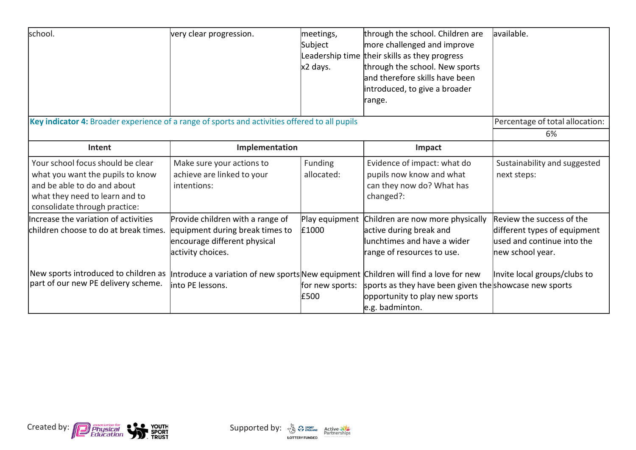| school.                                                                                                                                                                 | very clear progression.                                                                                                  | meetings,<br>Subject<br>x2 days. | through the school. Children are<br>more challenged and improve<br>Leadership time their skills as they progress<br>through the school. New sports<br>land therefore skills have been<br>introduced, to give a broader<br>range. | available.                                                                                                  |
|-------------------------------------------------------------------------------------------------------------------------------------------------------------------------|--------------------------------------------------------------------------------------------------------------------------|----------------------------------|----------------------------------------------------------------------------------------------------------------------------------------------------------------------------------------------------------------------------------|-------------------------------------------------------------------------------------------------------------|
| Key indicator 4: Broader experience of a range of sports and activities offered to all pupils                                                                           |                                                                                                                          |                                  |                                                                                                                                                                                                                                  | Percentage of total allocation:                                                                             |
|                                                                                                                                                                         |                                                                                                                          |                                  |                                                                                                                                                                                                                                  | 6%                                                                                                          |
| Intent                                                                                                                                                                  | Implementation                                                                                                           |                                  | Impact                                                                                                                                                                                                                           |                                                                                                             |
| Your school focus should be clear<br>what you want the pupils to know<br>and be able to do and about<br>what they need to learn and to<br>consolidate through practice: | Make sure your actions to<br>achieve are linked to your<br>intentions:                                                   | Funding<br>allocated:            | Evidence of impact: what do<br>pupils now know and what<br>can they now do? What has<br>changed?:                                                                                                                                | Sustainability and suggested<br>next steps:                                                                 |
| Increase the variation of activities<br>children choose to do at break times.                                                                                           | Provide children with a range of<br>equipment during break times to<br>encourage different physical<br>activity choices. | Play equipment<br>£1000          | Children are now more physically<br>active during break and<br>lunchtimes and have a wider<br>range of resources to use.                                                                                                         | Review the success of the<br>different types of equipment<br>used and continue into the<br>new school year. |
| New sports introduced to children as<br>part of our new PE delivery scheme.                                                                                             | Introduce a variation of new sports New equipment Children will find a love for new<br>linto PE lessons.                 | for new sports:<br>£500          | sports as they have been given the show case new sports<br>opportunity to play new sports<br>e.g. badminton.                                                                                                                     | Invite local groups/clubs to                                                                                |